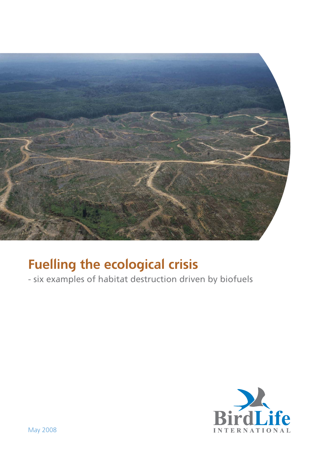

# Fuelling the ecological crisis

- six examples of habitat destruction driven by biofuels

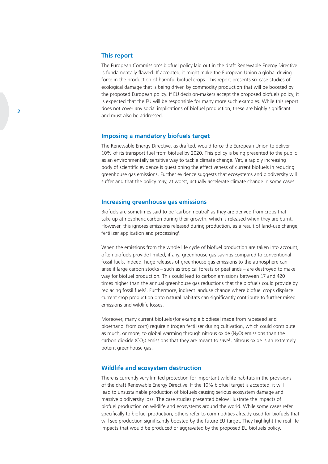#### This report

The European Commission's biofuel policy laid out in the draft Renewable Energy Directive is fundamentally flawed. If accepted, it might make the European Union a global driving force in the production of harmful biofuel crops. This report presents six case studies of ecological damage that is being driven by commodity production that will be boosted by the proposed European policy. If EU decision-makers accept the proposed biofuels policy, it is expected that the EU will be responsible for many more such examples. While this report does not cover any social implications of biofuel production, these are highly significant and must also be addressed.

#### Imposing a mandatory biofuels target

The Renewable Energy Directive, as drafted, would force the European Union to deliver 10% of its transport fuel from biofuel by 2020. This policy is being presented to the public as an environmentally sensitive way to tackle climate change. Yet, a rapidly increasing body of scientific evidence is questioning the effectiveness of current biofuels in reducing greenhouse gas emissions. Further evidence suggests that ecosystems and biodiversity will suffer and that the policy may, at worst, actually accelerate climate change in some cases.

#### Increasing greenhouse gas emissions

Biofuels are sometimes said to be 'carbon neutral' as they are derived from crops that take up atmospheric carbon during their growth, which is released when they are burnt. However, this ignores emissions released during production, as a result of land-use change, fertilizer application and processing<sup>1</sup>.

When the emissions from the whole life cycle of biofuel production are taken into account. often biofuels provide limited, if any, greenhouse gas savings compared to conventional fossil fuels. Indeed, huge releases of greenhouse gas emissions to the atmosphere can arise if large carbon stocks – such as tropical forests or peatlands – are destroyed to make way for biofuel production. This could lead to carbon emissions between 17 and 420 times higher than the annual greenhouse gas reductions that the biofuels could provide by replacing fossil fuels<sup>2</sup>. Furthermore, indirect landuse change where biofuel crops displace current crop production onto natural habitats can significantly contribute to further raised emissions and wildlife losses.

Moreover, many current biofuels (for example biodiesel made from rapeseed and bioethanol from corn) require nitrogen fertiliser during cultivation, which could contribute as much, or more, to global warming through nitrous oxide ( $N<sub>2</sub>O$ ) emissions than the carbon dioxide  $(CO_2)$  emissions that they are meant to save<sup>3</sup>. Nitrous oxide is an extremely potent greenhouse gas.

#### Wildlife and ecosystem destruction

There is currently very limited protection for important wildlife habitats in the provisions of the draft Renewable Energy Directive. If the 10% biofuel target is accepted, it will lead to unsustainable production of biofuels causing serious ecosystem damage and massive biodiversity loss. The case studies presented below illustrate the impacts of biofuel production on wildlife and ecosystems around the world. While some cases refer specifically to biofuel production, others refer to commodities already used for biofuels that will see production significantly boosted by the future EU target. They highlight the real life impacts that would be produced or aggravated by the proposed EU biofuels policy.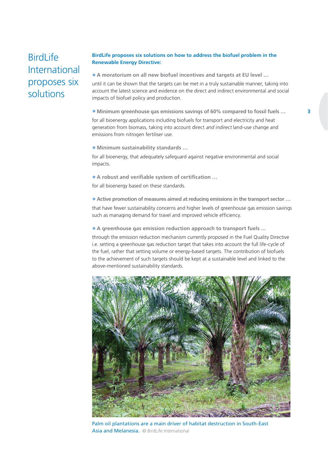## **BirdLife** International proposes six solutions

#### BirdLife proposes six solutions on how to address the biofuel problem in the Renewable Energy Directive:

• A moratorium on all new biofuel incentives and targets at EU level …

until it can be shown that the targets can be met in a truly sustainable manner, taking into account the latest science and evidence on the direct and indirect environmental and social impacts of biofuel policy and production.

• Minimum greenhouse gas emissions savings of 60% compared to fossil fuels …

for all bioenergy applications including biofuels for transport and electricity and heat generation from biomass, taking into account direct and indirect land-use change and emissions from nitrogen fertiliser use.

• Minimum sustainability standards …

for all bioenergy, that adequately safeguard against negative environmental and social impacts.

• A robust and verifiable system of certification ...

for all bioenergy based on these standards.

• Active promotion of measures aimed at reducing emissions in the transport sector … that have fewer sustainability concerns and higher levels of greenhouse gas emission savings such as managing demand for travel and improved vehicle efficiency.

• A greenhouse gas emission reduction approach to transport fuels ...

through the emission reduction mechanism currently proposed in the Fuel Quality Directive i.e. setting a greenhouse gas reduction target that takes into account the full life-cycle of the fuel, rather that setting volume or energy-based targets. The contribution of biofuels to the achievement of such targets should be kept at a sustainable level and linked to the above-mentioned sustainability standards.



Palm oil plantations are a main driver of habitat destruction in South-East Asia and Melanesia. © BirdLife International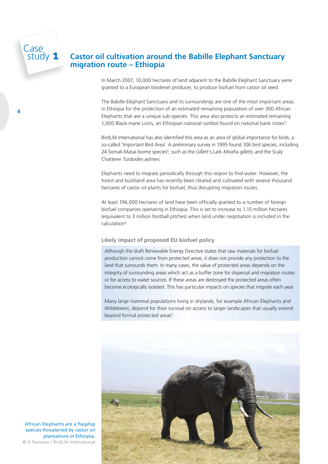# Case<br>Study 1 Castor oil cultivation around the Babille Elephant Sanctuary migration route – Ethiopia

In March 2007, 10,000 hectares of land adjacent to the Babille Elephant Sanctuary were granted to a European biodiesel producer, to produce biofuel from castor oil seed.

The Babille Elephant Sanctuary and its surroundings are one of the most important areas in Ethiopia for the protection of an estimated remaining population of over 300 African Elephants that are a unique sub-species. This area also protects an estimated remaining 1,000 Black-mane Lions, an Ethiopian national symbol found on national bank notes<sup>4</sup>.

BirdLife International has also identified this area as an area of global importance for birds, a so-called 'Important Bird Area'. A preliminary survey in 1995 found 106 bird species, including 24 Somali-Masai biome species<sup>5</sup>, such as the Gillett's Lark Mirafra gilletti, and the Scaly Chatterer Turdoides aylmeri.

Elephants need to migrate periodically through this region to find water. However, the forest and bushland area has recently been cleared and cultivated with several thousand hectares of castor oil plants for biofuel, thus disrupting migration routes.

At least 196,000 hectares of land have been officially granted to a number of foreign biofuel companies operating in Ethiopia. This is set to increase to 1.15 million hectares (equivalent to 3 million football pitches) when land under negotiation is included in the calculation6.

#### Likely impact of proposed EU biofuel policy

Although the draft Renewable Energy Directive states that raw materials for biofuel production cannot come from protected areas, it does not provide any protection to the land that surrounds them. In many cases, the value of protected areas depends on the integrity of surrounding areas which act as a buffer zone for dispersal and migration routes or for access to water sources. If these areas are destroyed the protected areas often become ecologically isolated. This has particular impacts on species that migrate each year.

Many large mammal populations living in drylands, for example African Elephants and Wildebeest, depend for their survival on access to larger landscapes that usually extend beyond formal protected areas<sup>7</sup>.



African Elephants are a flagship species threatened by castor oil plantations in Ethiopia. © A Pautasso / BirdLife International

4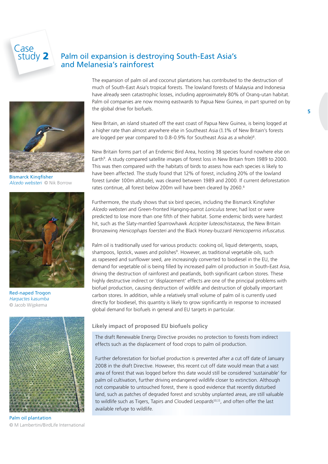# Case<br>
I study 2 Palm oil expansion is destroying South-East Asia's and Melanesia's rainforest



**Bismarck Kingfisher** Alcedo websteri © Nik Borrow



Red-naped Trogon Harpactes kasumba © Jacob Wijpkema



Palm oil plantation © M Lambertini/BirdLife International

The expansion of palm oil and coconut plantations has contributed to the destruction of much of South-East Asia's tropical forests. The lowland forests of Malaysia and Indonesia have already seen catastrophic losses, including approximately 80% of Orang-utan habitat. Palm oil companies are now moving eastwards to Papua New Guinea, in part spurred on by the global drive for biofuels.

New Britain, an island situated off the east coast of Papua New Guinea, is being logged at a higher rate than almost anywhere else in Southeast Asia (1.1% of New Britain's forests are logged per year compared to 0.8-0.9% for Southeast Asia as a whole)<sup>8</sup>.

New Britain forms part of an Endemic Bird Area, hosting 38 species found nowhere else on Earth<sup>9</sup>. A study compared satellite images of forest loss in New Britain from 1989 to 2000. This was then compared with the habitats of birds to assess how each species is likely to have been affected. The study found that 12% of forest, including 20% of the lowland forest (under 100m altitude), was cleared between 1989 and 2000. If current deforestation rates continue, all forest below 200m will have been cleared by 2060.<sup>8</sup>

Furthermore, the study shows that six bird species, including the Bismarck Kingfisher Alcedo websteri and Green-fronted Hanging-parrot Loriculus tener, had lost or were predicted to lose more than one fifth of their habitat. Some endemic birds were hardest hit, such as the Slaty-mantled Sparrowhawk Accipiter luteoschistaceus, the New Britain Bronzewing Henicophaps foersteri and the Black Honey-buzzard Henicopernis infuscatus.

Palm oil is traditionally used for various products: cooking oil, liquid detergents, soaps, shampoos, lipstick, waxes and polishes<sup>9</sup>. However, as traditional vegetable oils, such as rapeseed and sunflower seed, are increasingly converted to biodiesel in the EU, the demand for vegetable oil is being filled by increased palm oil production in South-East Asia, driving the destruction of rainforest and peatlands, both significant carbon stores. These highly destructive indirect or 'displacement' effects are one of the principal problems with biofuel production, causing destruction of wildlife and destruction of globally important carbon stores. In addition, while a relatively small volume of palm oil is currently used directly for biodiesel, this quantity is likely to grow significantly in response to increased global demand for biofuels in general and EU targets in particular.

#### Likely impact of proposed EU biofuels policy

The draft Renewable Energy Directive provides no protection to forests from indirect effects such as the displacement of food crops to palm oil production.

Further deforestation for biofuel production is prevented after a cut off date of January 2008 in the draft Directive. However, this recent cut off date would mean that a vast area of forest that was logged before this date would still be considered 'sustainable' for palm oil cultivation, further driving endangered wildlife closer to extinction. Although not comparable to untouched forest, there is good evidence that recently disturbed land, such as patches of degraded forest and scrubby unplanted areas, are still valuable to wildlife such as Tigers, Tapirs and Clouded Leopards<sup>10,11</sup>, and often offer the last available refuge to wildlife.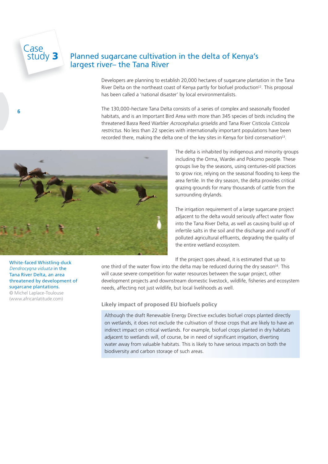# Case<br>study 3

6

### Planned sugarcane cultivation in the delta of Kenya's largest river– the Tana River

Developers are planning to establish 20,000 hectares of sugarcane plantation in the Tana River Delta on the northeast coast of Kenya partly for biofuel production<sup>12</sup>. This proposal has been called a 'national disaster' by local environmentalists.

The 130,000-hectare Tana Delta consists of a series of complex and seasonally flooded habitats, and is an Important Bird Area with more than 345 species of birds including the threatened Basra Reed Warbler Acrocephalus griseldis and Tana River Cisticola Cisticola restrictus. No less than 22 species with internationally important populations have been recorded there, making the delta one of the key sites in Kenya for bird conservation13.



The delta is inhabited by indigenous and minority groups including the Orma, Wardei and Pokomo people. These groups live by the seasons, using centuries-old practices to grow rice, relying on the seasonal flooding to keep the area fertile. In the dry season, the delta provides critical grazing grounds for many thousands of cattle from the surrounding drylands.

The irrigation requirement of a large sugarcane project adjacent to the delta would seriously affect water flow into the Tana River Delta, as well as causing build up of infertile salts in the soil and the discharge and runoff of polluted agricultural effluents, degrading the quality of the entire wetland ecosystem.

If the project goes ahead, it is estimated that up to

one third of the water flow into the delta may be reduced during the dry season<sup>14</sup>. This will cause severe competition for water resources between the sugar project, other development projects and downstream domestic livestock, wildlife, fisheries and ecosystem needs, affecting not just wildlife, but local livelihoods as well.

#### Likely impact of proposed EU biofuels policy

Although the draft Renewable Energy Directive excludes biofuel crops planted directly on wetlands, it does not exclude the cultivation of those crops that are likely to have an indirect impact on critical wetlands. For example, biofuel crops planted in dry habitats adjacent to wetlands will, of course, be in need of significant irrigation, diverting water away from valuable habitats. This is likely to have serious impacts on both the biodiversity and carbon storage of such areas.

White-faced Whistling-duck Dendrocygna viduata in the Tana River Delta, an area threatened by development of sugarcane plantations.

© Michel Laplace-Toulouse (www.africanlatitude.com)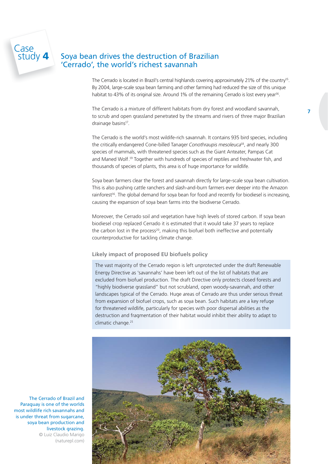### Soya bean drives the destruction of Brazilian 'Cerrado', the world's richest savannah

The Cerrado is located in Brazil's central highlands covering approximately 21% of the country<sup>15</sup>. By 2004, large-scale soya bean farming and other farming had reduced the size of this unique habitat to 43% of its original size. Around 1% of the remaining Cerrado is lost every year<sup>16</sup>.

The Cerrado is a mixture of different habitats from dry forest and woodland savannah, to scrub and open grassland penetrated by the streams and rivers of three major Brazilian drainage basins<sup>17</sup>.

The Cerrado is the world's most wildife-rich savannah. It contains 935 bird species, including the critically endangered Cone-billed Tanager Conothraupis mesoleuca<sup>18</sup>, and nearly 300 species of mammals, with threatened species such as the Giant Anteater, Pampas Cat and Maned Wolf.<sup>19</sup> Together with hundreds of species of reptiles and freshwater fish, and thousands of species of plants, this area is of huge importance for wildlife.

Soya bean farmers clear the forest and savannah directly for large-scale soya bean cultivation. This is also pushing cattle ranchers and slash-and-burn farmers ever deeper into the Amazon rainforest<sup>16</sup>. The global demand for soya bean for food and recently for biodiesel is increasing, causing the expansion of soya bean farms into the biodiverse Cerrado.

Moreover, the Cerrado soil and vegetation have high levels of stored carbon. If soya bean biodiesel crop replaced Cerrado it is estimated that it would take 37 years to replace the carbon lost in the process<sup>20</sup>, making this biofuel both ineffective and potentially counterproductive for tackling climate change.

#### Likely impact of proposed EU biofuels policy

The vast majority of the Cerrado region is left unprotected under the draft Renewable Energy Directive as 'savannahs' have been left out of the list of habitats that are excluded from biofuel production. The draft Directive only protects closed forests and "highly biodiverse grassland" but not scrubland, open woody-savannah, and other landscapes typical of the Cerrado. Huge areas of Cerrado are thus under serious threat from expansion of biofuel crops, such as soya bean. Such habitats are a key refuge for threatened wildlife, particularly for species with poor dispersal abilities as the destruction and fragmentation of their habitat would inhibit their ability to adapt to climatic change.<sup>21</sup>



The Cerrado of Brazil and Paraguay is one of the worlds most wildlife rich savannahs and is under threat from sugarcane, soya bean production and livestock grazing. © Luiz Claudio Marigo (naturepl.com)

Case<br>study 4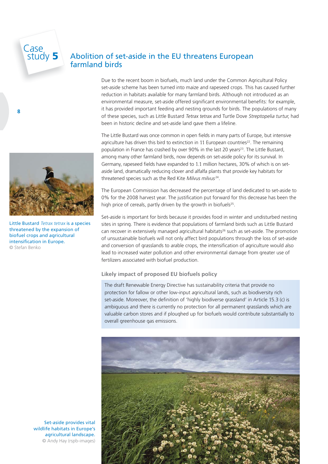# Case<br>study 5

8

## Abolition of set-aside in the EU threatens European farmland birds

Due to the recent boom in biofuels, much land under the Common Agricultural Policy set-aside scheme has been turned into maize and rapeseed crops. This has caused further reduction in habitats available for many farmland birds. Although not introduced as an environmental measure, set-aside offered significant environmental benefits: for example, it has provided important feeding and nesting grounds for birds. The populations of many of these species, such as Little Bustard Tetrax tetrax and Turtle Dove Streptopelia turtur, had been in historic decline and set-aside land gave them a lifeline.

The Little Bustard was once common in open fields in many parts of Europe, but intensive agriculture has driven this bird to extinction in 11 European countries<sup>22</sup>. The remaining population in France has crashed by over 90% in the last 20 years<sup>23</sup>. The Little Bustard, among many other farmland birds, now depends on set-aside policy for its survival. In Germany, rapeseed fields have expanded to 1.1 million hectares, 30% of which is on setaside land, dramatically reducing clover and alfalfa plants that provide key habitats for threatened species such as the Red Kite Milvus milvus<sup>24</sup>.

The European Commission has decreased the percentage of land dedicated to set-aside to 0% for the 2008 harvest year. The justification put forward for this decrease has been the high price of cereals, partly driven by the growth in biofuels<sup>25</sup>.

Set-aside is important for birds because it provides food in winter and undisturbed nesting sites in spring. There is evidence that populations of farmland birds such as Little Bustard can recover in extensively managed agricultural habitats<sup>26</sup> such as set-aside. The promotion of unsustainable biofuels will not only affect bird populations through the loss of set-aside and conversion of grasslands to arable crops, the intensification of agriculture would also lead to increased water pollution and other environmental damage from greater use of fertilizers associated with biofuel production.

#### Likely impact of proposed EU biofuels policy

The draft Renewable Energy Directive has sustainability criteria that provide no protection for fallow or other low-input agricultural lands, such as biodiversity rich set-aside. Moreover, the definition of 'highly biodiverse grassland' in Article 15.3 (c) is ambiguous and there is currently no protection for all permanent grasslands which are valuable carbon stores and if ploughed up for biofuels would contribute substantially to overall greenhouse gas emissions.





Little Bustard Tetrax tetrax is a species threatened by the expansion of biofuel crops and agricultural intensification in Europe. © Stefan Benko

Set-aside provides vital wildlife habitats in Europe's agricultural landscape. © Andy Hay (rspb-images)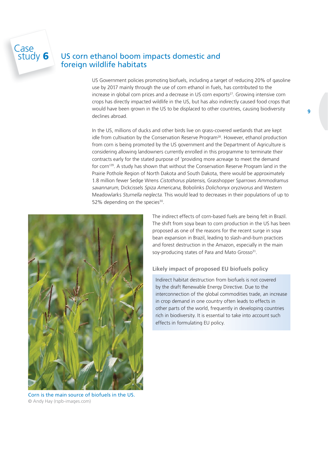### US corn ethanol boom impacts domestic and foreign wildlife habitats

US Government policies promoting biofuels, including a target of reducing 20% of gasoline use by 2017 mainly through the use of corn ethanol in fuels, has contributed to the increase in global corn prices and a decrease in US corn exports $27$ . Growing intensive corn crops has directly impacted wildlife in the US, but has also indirectly caused food crops that would have been grown in the US to be displaced to other countries, causing biodiversity declines abroad.

In the US, millions of ducks and other birds live on grass-covered wetlands that are kept idle from cultivation by the Conservation Reserve Program<sup>28</sup>. However, ethanol production from corn is being promoted by the US government and the Department of Agriculture is considering allowing landowners currently enrolled in this programme to terminate their contracts early for the stated purpose of 'providing more acreage to meet the demand for corn'29. A study has shown that without the Conservation Reserve Program land in the Prairie Pothole Region of North Dakota and South Dakota, there would be approximately 1.8 million fewer Sedge Wrens Cistothorus platensis, Grasshopper Sparrows Ammodramus savannarum, Dickcissels Spiza Americana, Bobolinks Dolichonyx oryzivorus and Western Meadowlarks Sturnella neglecta. This would lead to decreases in their populations of up to 52% depending on the species $30$ .



Case<br>
study 6

Corn is the main source of biofuels in the US. © Andy Hay (rspb-images.com)

The indirect effects of corn-based fuels are being felt in Brazil. The shift from soya bean to corn production in the US has been proposed as one of the reasons for the recent surge in soya bean expansion in Brazil, leading to slash-and-burn practices and forest destruction in the Amazon, especially in the main soy-producing states of Para and Mato Grosso<sup>31</sup>.

#### Likely impact of proposed EU biofuels policy

Indirect habitat destruction from biofuels is not covered by the draft Renewable Energy Directive. Due to the interconnection of the global commodities trade, an increase in crop demand in one country often leads to effects in other parts of the world, frequently in developing countries rich in biodiversity. It is essential to take into account such effects in formulating EU policy.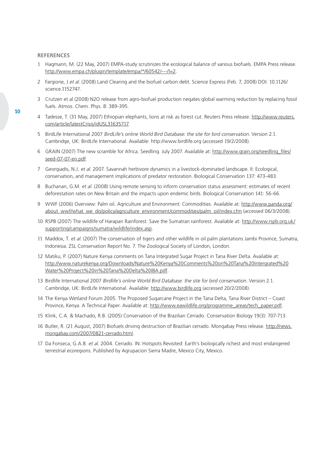#### **REFERENCES**

- 1 Hagmann, M. (22 May, 2007) EMPA-study scrutinizes the ecological balance of various biofuels. EMPA Press release. http://www.empa.ch/plugin/template/empa/\*/60542/---/l=2.
- 2 Fargione, J et al. (2008) Land Clearing and the biofuel carbon debt. Science Express (Feb. 7, 2008) DOI: 10.1126/ science.1152747.
- 3 Crutzen et al (2008) N2O release from agro-biofuel production negates global warming reduction by replacing fossil fuels. Atmos. Chem. Phys. 8: 389-395.
- 4 Tadesse, T. (31 May, 2007) Ethiopian elephants, lions at risk as forest cut. Reuters Press release. http://www.reuters. com/article/latestCrisis/idUSL31635717.
- 5 BirdLife International 2007 BirdLife's online World Bird Database: the site for bird conservation. Version 2.1. Cambridge, UK: BirdLife International. Available: http://www.birdlife.org (accessed 19/2/2008).
- 6 GRAIN (2007) The new scramble for Africa. Seedling. July 2007. Available at: http://www.grain.org/seedling\_fi les/ seed-07-07-en.pdf.
- 7 Georgiadis, N.J. et al. 2007. Savannah herbivore dynamics in a livestock-dominated landscape. II: Ecological, conservation, and management implications of predator restoration. Biological Conservation 137: 473-483.
- 8 Buchanan, G.M. et al. (2008) Using remote sensing to inform conservation status assessment: estimates of recent deforestation rates on New Britain and the impacts upon endemic birds. Biological Conservation 141: 56-66.
- 9 WWF (2006) Overview: Palm oil. Agriculture and Environment: Commodities. Available at: http://www.panda.org/ about\_wwf/what\_we\_do/policy/agriculture\_environment/commodities/palm\_oil/index.cfm (accessed 06/3/2008).
- 10 RSPB (2007) The wildlife of Harapan Rainforest. Save the Sumatran rainforest. Available at: http://www.rspb.org.uk/ supporting/campaigns/sumatra/wildlife/index.asp.
- 11 Maddox, T. et al. (2007) The conservation of tigers and other wildlife in oil palm plantations Jambi Province, Sumatra, Indonesia. ZSL Conservation Report No. 7. The Zoological Society of London, London.
- 12 Matiku, P. (2007) Nature Kenya comments on Tana Integrated Sugar Project in Tana River Delta. Available at: http://www.naturekenya.org/Downloads/Nature%20Kenya%20Comments%20on%20Tana%20Intergrated%20 Water%20Project%20in%20Tana%20Delta%20IBA.pdf.
- 13 Birdlife International 2007 Birdlife's online World Bird Database: the site for bird conservation. Version 2.1. Cambridge, UK: BirdLife International. Available: http://www.birdlife.org (accessed 20/2/2008).
- 14 The Kenya Wetland Forum 2005. The Proposed Sugarcane Project in the Tana Delta, Tana River District Coast Province, Kenya. A Technical Paper. Available at: http://www.eawildlife.org/programme\_areas/tech\_paper.pdf.
- 15 Klink, C.A. & Machado, R.B. (2005) Conservation of the Brazilian Cerrado. Conservation Biology 19(3): 707-713.
- 16 Butler, R. (21 August, 2007) Biofuels driving destruction of Brazilian cerrado. Mongabay Press release. http://news. mongabay.com/2007/0821-cerrado.html.
- 17 Da Fonseca, G.A.B. et al. 2004. Cerrado. IN: Hotspots Revisited: Earth's biologically richest and most endangered terrestrial ecoregions. Published by Agrupacion Sierra Madre, Mexico City, Mexico.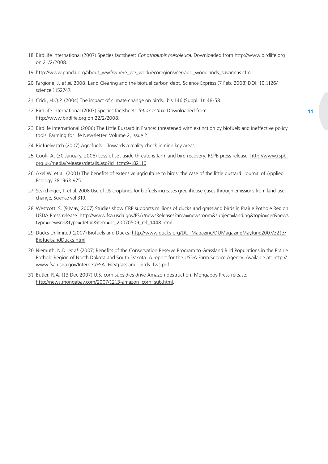- 18 BirdLife International (2007) Species factsheet: Conothraupis mesoleuca. Downloaded from http://www.birdlife.org on 21/2/2008.
- 19 http://www.panda.org/about\_wwf/where\_we\_work/ecoregions/cerrado\_woodlands\_savannas.cfm.
- 20 Fargione, J. et al. 2008. Land Clearing and the biofuel carbon debt. Science Express (7 Feb. 2008) DOI: 10.1126/ science.1152747.
- 21 Crick, H.Q.P. (2004) The impact of climate change on birds. Ibis 146 (Suppl. 1): 48-58.
- 22 BirdLife International (2007) Species factsheet: Tetrax tetrax. Downloaded from http://www.birdlife.org on 22/2/2008.
- 23 Birdlife International (2006) The Little Bustard in France: threatened with extinction by biofuels and ineffective policy tools. Farming for life Newsletter. Volume 2, Issue 2.
- 24 Biofuelwatch (2007) Agrofuels Towards a reality check in nine key areas.
- 25 Cook, A. (30 January, 2008) Loss of set-aside threatens farmland bird recovery. RSPB press release. http://www.rspb. org.uk/media/releases/details.asp?id=tcm:9-182116.
- 26 Axel W. et al. (2001) The benefits of extensive agriculture to birds: the case of the little bustard. Journal of Applied Ecology 38: 963-975.
- 27 Searchinger, T. et al. 2008 Use of US croplands for biofuels increases greenhouse gases through emissions from land-use change, Science vol 319.
- 28 Westcott, S. (9 May, 2007) Studies show CRP supports millions of ducks and grassland birds in Prairie Pothole Region. USDA Press release. http://www.fsa.usda.gov/FSA/newsReleases?area=newsroom&subject=landing&topic=ner&news type=newsrel&type=detail&item=nr\_20070509\_rel\_1448.html.
- 29 Ducks Unlimited (2007) Biofuels and Ducks. http://www.ducks.org/DU\_Magazine/DUMagazineMayJune2007/3213/ BiofuelsandDucks.html.
- 30 Niemuth, N.D. et al. (2007) Benefits of the Conservation Reserve Program to Grassland Bird Populations in the Prairie Pothole Region of North Dakota and South Dakota. A report for the USDA Farm Service Agency. Available at: http:// www.fsa.usda.gov/Internet/FSA\_File/grassland\_birds\_fws.pdf.
- 31 Butler, R.A. (13 Dec 2007) U.S. corn subsidies drive Amazon destruction. Mongaboy Press release. http://news.mongabay.com/2007/1213-amazon\_corn\_sub.html.